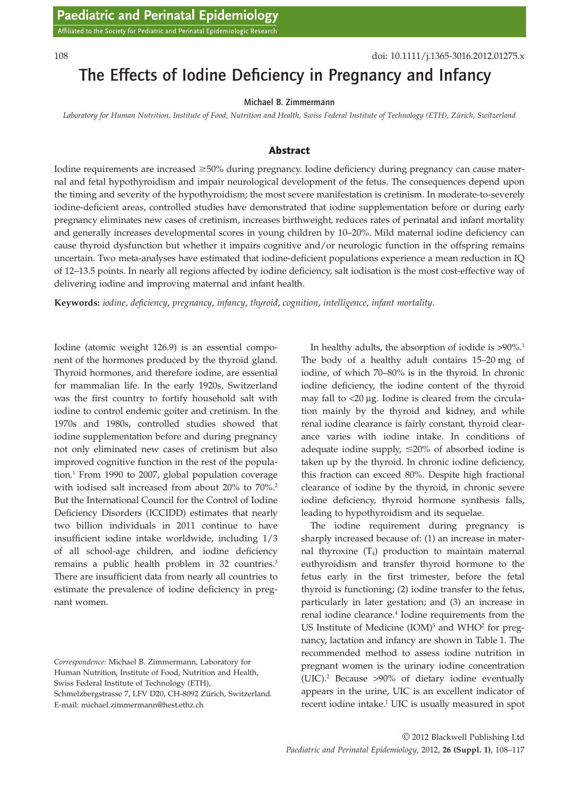# The Effects of Iodine Deficiency in Pregnancy and Infancy

#### Michael B. Zimmermann

*Laboratory for Human Nutrition, Institute of Food, Nutrition and Health, Swiss Federal Institute of Technology (ETH), Zürich, Switzerland*

#### Abstract

Iodine requirements are increased ≥50% during pregnancy. Iodine deficiency during pregnancy can cause maternal and fetal hypothyroidism and impair neurological development of the fetus. The consequences depend upon the timing and severity of the hypothyroidism; the most severe manifestation is cretinism. In moderate-to-severely iodine-deficient areas, controlled studies have demonstrated that iodine supplementation before or during early pregnancy eliminates new cases of cretinism, increases birthweight, reduces rates of perinatal and infant mortality and generally increases developmental scores in young children by 10–20%. Mild maternal iodine deficiency can cause thyroid dysfunction but whether it impairs cognitive and/or neurologic function in the offspring remains uncertain. Two meta-analyses have estimated that iodine-deficient populations experience a mean reduction in IQ of 12–13.5 points. In nearly all regions affected by iodine deficiency, salt iodisation is the most cost-effective way of delivering iodine and improving maternal and infant health.

**Keywords:** *iodine*, *deficiency*, *pregnancy*, *infancy*, *thyroid*, *cognition*, *intelligence*, *infant mortality*.

Iodine (atomic weight 126.9) is an essential component of the hormones produced by the thyroid gland. Thyroid hormones, and therefore iodine, are essential for mammalian life. In the early 1920s, Switzerland was the first country to fortify household salt with iodine to control endemic goiter and cretinism. In the 1970s and 1980s, controlled studies showed that iodine supplementation before and during pregnancy not only eliminated new cases of cretinism but also improved cognitive function in the rest of the population.1 From 1990 to 2007, global population coverage with iodised salt increased from about 20% to 70%.<sup>2</sup> But the International Council for the Control of Iodine Deficiency Disorders (ICCIDD) estimates that nearly two billion individuals in 2011 continue to have insufficient iodine intake worldwide, including 1/3 of all school-age children, and iodine deficiency remains a public health problem in 32 countries.<sup>3</sup> There are insufficient data from nearly all countries to estimate the prevalence of iodine deficiency in pregnant women.

Swiss Federal Institute of Technology (ETH),

In healthy adults, the absorption of iodide is  $>90\%$ .<sup>1</sup> The body of a healthy adult contains 15–20 mg of iodine, of which 70–80% is in the thyroid. In chronic iodine deficiency, the iodine content of the thyroid may fall to  $<$ 20  $\mu$ g. Iodine is cleared from the circulation mainly by the thyroid and kidney, and while renal iodine clearance is fairly constant, thyroid clearance varies with iodine intake. In conditions of adequate iodine supply,  $\leq 20\%$  of absorbed iodine is taken up by the thyroid. In chronic iodine deficiency, this fraction can exceed 80%. Despite high fractional clearance of iodine by the thyroid, in chronic severe iodine deficiency, thyroid hormone synthesis falls, leading to hypothyroidism and its sequelae.

The iodine requirement during pregnancy is sharply increased because of: (1) an increase in maternal thyroxine  $(T_4)$  production to maintain maternal euthyroidism and transfer thyroid hormone to the fetus early in the first trimester, before the fetal thyroid is functioning; (2) iodine transfer to the fetus, particularly in later gestation; and (3) an increase in renal iodine clearance.<sup>4</sup> Iodine requirements from the US Institute of Medicine  $(IOM)^5$  and  $WHO^2$  for pregnancy, lactation and infancy are shown in Table 1. The recommended method to assess iodine nutrition in pregnant women is the urinary iodine concentration (UIC).2 Because >90% of dietary iodine eventually appears in the urine, UIC is an excellent indicator of recent iodine intake.<sup>1</sup> UIC is usually measured in spot

*Correspondence:* Michael B. Zimmermann, Laboratory for Human Nutrition, Institute of Food, Nutrition and Health,

Schmelzbergstrasse 7, LFV D20, CH-8092 Zürich, Switzerland. E-mail: michael.zimmermann@hest.ethz.ch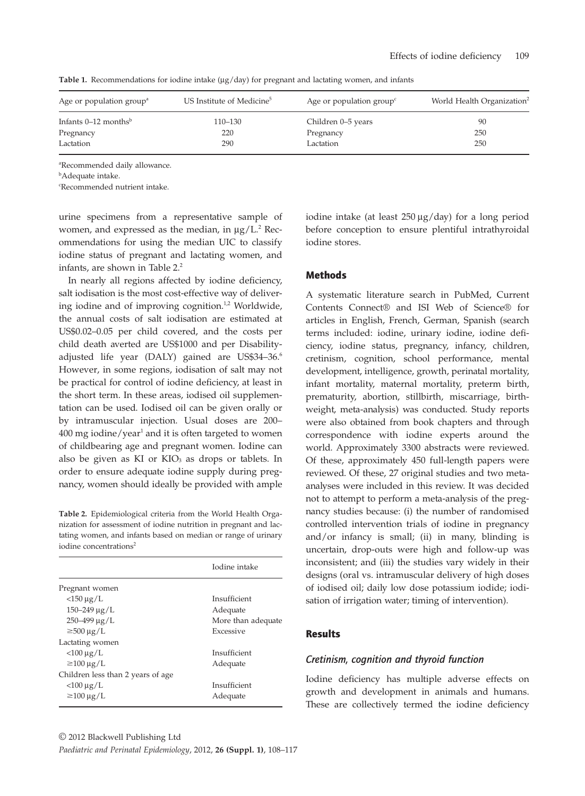| Age or population group <sup>a</sup> | US Institute of Medicine <sup>5</sup> | Age or population group <sup><math>\epsilon</math></sup> | World Health Organization <sup>2</sup> |
|--------------------------------------|---------------------------------------|----------------------------------------------------------|----------------------------------------|
| Infants $0-12$ months <sup>b</sup>   | $110 - 130$                           | Children 0–5 years                                       | 90                                     |
| Pregnancy                            | 220                                   | Pregnancy                                                | 250                                    |
| Lactation                            | 290                                   | Lactation                                                | 250                                    |

**Table 1.** Recommendations for iodine intake ( $\mu$ g/day) for pregnant and lactating women, and infants

a Recommended daily allowance.

b Adequate intake.

c Recommended nutrient intake.

urine specimens from a representative sample of women, and expressed as the median, in  $\mu$ g/L.<sup>2</sup> Recommendations for using the median UIC to classify iodine status of pregnant and lactating women, and infants, are shown in Table 2.<sup>2</sup>

In nearly all regions affected by iodine deficiency, salt iodisation is the most cost-effective way of delivering iodine and of improving cognition.<sup>1,2</sup> Worldwide, the annual costs of salt iodisation are estimated at US\$0.02–0.05 per child covered, and the costs per child death averted are US\$1000 and per Disabilityadjusted life year (DALY) gained are US\$34-36.<sup>6</sup> However, in some regions, iodisation of salt may not be practical for control of iodine deficiency, at least in the short term. In these areas, iodised oil supplementation can be used. Iodised oil can be given orally or by intramuscular injection. Usual doses are 200– 400 mg iodine/year<sup>1</sup> and it is often targeted to women of childbearing age and pregnant women. Iodine can also be given as  $KI$  or  $KIO_3$  as drops or tablets. In order to ensure adequate iodine supply during pregnancy, women should ideally be provided with ample

**Table 2.** Epidemiological criteria from the World Health Organization for assessment of iodine nutrition in pregnant and lactating women, and infants based on median or range of urinary iodine concentrations<sup>2</sup>

|                                   | Iodine intake      |
|-----------------------------------|--------------------|
| Pregnant women                    |                    |
| $<$ 150 µg/L                      | Insufficient       |
| $150 - 249 \mu g/L$               | Adequate           |
| $250 - 499 \mu g/L$               | More than adequate |
| $\geq$ 500 µg/L                   | Excessive          |
| Lactating women                   |                    |
| $<$ 100 µg/L                      | Insufficient       |
| $\geq$ 100 µg/L                   | Adequate           |
| Children less than 2 years of age |                    |
| $<$ 100 µg/L                      | Insufficient       |
| $\geq$ 100 µg/L                   | Adequate           |

© 2012 Blackwell Publishing Ltd *Paediatric and Perinatal Epidemiology*, 2012, **26 (Suppl. 1)**, 108–117

iodine intake (at least  $250 \mu g/day$ ) for a long period before conception to ensure plentiful intrathyroidal iodine stores.

## Methods

A systematic literature search in PubMed, Current Contents Connect® and ISI Web of Science® for articles in English, French, German, Spanish (search terms included: iodine, urinary iodine, iodine deficiency, iodine status, pregnancy, infancy, children, cretinism, cognition, school performance, mental development, intelligence, growth, perinatal mortality, infant mortality, maternal mortality, preterm birth, prematurity, abortion, stillbirth, miscarriage, birthweight, meta-analysis) was conducted. Study reports were also obtained from book chapters and through correspondence with iodine experts around the world. Approximately 3300 abstracts were reviewed. Of these, approximately 450 full-length papers were reviewed. Of these, 27 original studies and two metaanalyses were included in this review. It was decided not to attempt to perform a meta-analysis of the pregnancy studies because: (i) the number of randomised controlled intervention trials of iodine in pregnancy and/or infancy is small; (ii) in many, blinding is uncertain, drop-outs were high and follow-up was inconsistent; and (iii) the studies vary widely in their designs (oral vs. intramuscular delivery of high doses of iodised oil; daily low dose potassium iodide; iodisation of irrigation water; timing of intervention).

# Results

#### *Cretinism, cognition and thyroid function*

Iodine deficiency has multiple adverse effects on growth and development in animals and humans. These are collectively termed the iodine deficiency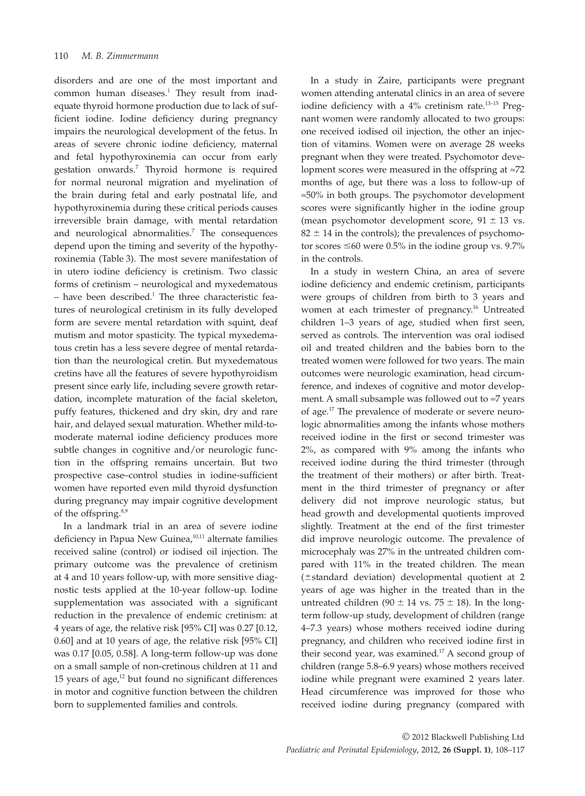disorders and are one of the most important and common human diseases.<sup>1</sup> They result from inadequate thyroid hormone production due to lack of sufficient iodine. Iodine deficiency during pregnancy impairs the neurological development of the fetus. In areas of severe chronic iodine deficiency, maternal and fetal hypothyroxinemia can occur from early gestation onwards.7 Thyroid hormone is required for normal neuronal migration and myelination of the brain during fetal and early postnatal life, and hypothyroxinemia during these critical periods causes irreversible brain damage, with mental retardation and neurological abnormalities.<sup>7</sup> The consequences depend upon the timing and severity of the hypothyroxinemia (Table 3). The most severe manifestation of in utero iodine deficiency is cretinism. Two classic forms of cretinism – neurological and myxedematous  $-$  have been described.<sup>1</sup> The three characteristic features of neurological cretinism in its fully developed form are severe mental retardation with squint, deaf mutism and motor spasticity. The typical myxedematous cretin has a less severe degree of mental retardation than the neurological cretin. But myxedematous cretins have all the features of severe hypothyroidism present since early life, including severe growth retardation, incomplete maturation of the facial skeleton, puffy features, thickened and dry skin, dry and rare hair, and delayed sexual maturation. Whether mild-tomoderate maternal iodine deficiency produces more subtle changes in cognitive and/or neurologic function in the offspring remains uncertain. But two prospective case–control studies in iodine-sufficient women have reported even mild thyroid dysfunction during pregnancy may impair cognitive development of the offspring.<sup>8,9</sup>

In a landmark trial in an area of severe iodine deficiency in Papua New Guinea,<sup>10,11</sup> alternate families received saline (control) or iodised oil injection. The primary outcome was the prevalence of cretinism at 4 and 10 years follow-up, with more sensitive diagnostic tests applied at the 10-year follow-up. Iodine supplementation was associated with a significant reduction in the prevalence of endemic cretinism: at 4 years of age, the relative risk [95% CI] was 0.27 [0.12, 0.60] and at 10 years of age, the relative risk [95% CI] was 0.17 [0.05, 0.58]. A long-term follow-up was done on a small sample of non-cretinous children at 11 and 15 years of age, $12$  but found no significant differences in motor and cognitive function between the children born to supplemented families and controls.

In a study in Zaire, participants were pregnant women attending antenatal clinics in an area of severe iodine deficiency with a 4% cretinism rate.<sup>13-15</sup> Pregnant women were randomly allocated to two groups: one received iodised oil injection, the other an injection of vitamins. Women were on average 28 weeks pregnant when they were treated. Psychomotor development scores were measured in the offspring at  $\approx$ 72 months of age, but there was a loss to follow-up of  $\approx$ 50% in both groups. The psychomotor development scores were significantly higher in the iodine group (mean psychomotor development score,  $91 \pm 13$  vs.  $82 \pm 14$  in the controls); the prevalences of psychomotor scores  $\leq 60$  were 0.5% in the iodine group vs. 9.7% in the controls.

In a study in western China, an area of severe iodine deficiency and endemic cretinism, participants were groups of children from birth to 3 years and women at each trimester of pregnancy.<sup>16</sup> Untreated children 1–3 years of age, studied when first seen, served as controls. The intervention was oral iodised oil and treated children and the babies born to the treated women were followed for two years. The main outcomes were neurologic examination, head circumference, and indexes of cognitive and motor development. A small subsample was followed out to  $\approx$ 7 years of age.17 The prevalence of moderate or severe neurologic abnormalities among the infants whose mothers received iodine in the first or second trimester was 2%, as compared with 9% among the infants who received iodine during the third trimester (through the treatment of their mothers) or after birth. Treatment in the third trimester of pregnancy or after delivery did not improve neurologic status, but head growth and developmental quotients improved slightly. Treatment at the end of the first trimester did improve neurologic outcome. The prevalence of microcephaly was 27% in the untreated children compared with 11% in the treated children. The mean  $(\pm$ standard deviation) developmental quotient at 2 years of age was higher in the treated than in the untreated children (90  $\pm$  14 vs. 75  $\pm$  18). In the longterm follow-up study, development of children (range 4–7.3 years) whose mothers received iodine during pregnancy, and children who received iodine first in their second year, was examined.<sup>17</sup> A second group of children (range 5.8–6.9 years) whose mothers received iodine while pregnant were examined 2 years later. Head circumference was improved for those who received iodine during pregnancy (compared with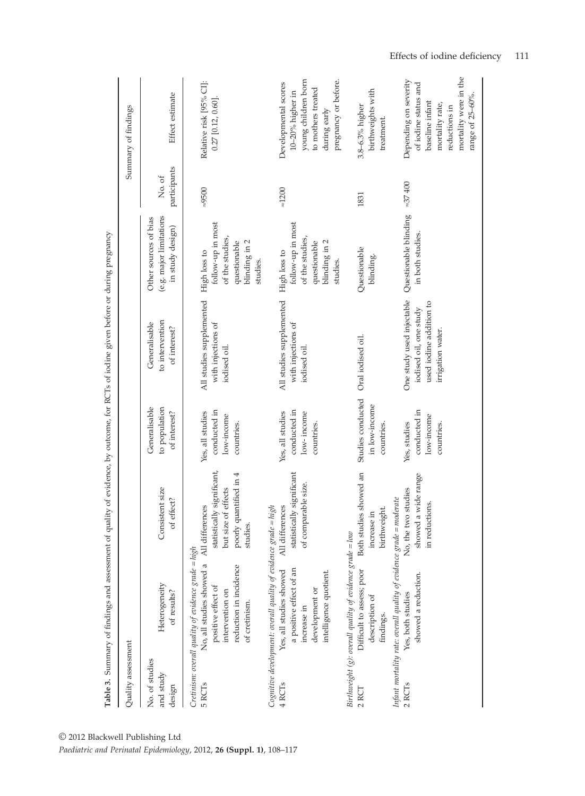|                                       |                                                                                                                                                                                  |                                                                                                               |                                                              | Table 3. Summary of findings and assessment of quality of evidence, by outcome, for RCTs of iodine given before or during pregnancy |                                                                                                   |                        |                                                                                                                                                   |
|---------------------------------------|----------------------------------------------------------------------------------------------------------------------------------------------------------------------------------|---------------------------------------------------------------------------------------------------------------|--------------------------------------------------------------|-------------------------------------------------------------------------------------------------------------------------------------|---------------------------------------------------------------------------------------------------|------------------------|---------------------------------------------------------------------------------------------------------------------------------------------------|
| Quality assessment                    |                                                                                                                                                                                  |                                                                                                               |                                                              |                                                                                                                                     |                                                                                                   |                        | Summary of findings                                                                                                                               |
| No. of studies<br>and study<br>design | Heterogeneity<br>of results?                                                                                                                                                     | Consistent size<br>of effect?                                                                                 | Generalisable<br>to population<br>of interest?               | to intervention<br>Generalisable<br>of interest?                                                                                    | (e.g. major limitations<br>Other sources of bias<br>in study design)                              | participants<br>No. of | Effect estimate                                                                                                                                   |
| 5 RCT <sub>s</sub>                    | Cretinism: overall quality of evidence grade = high<br>No, all studies showed a<br>reduction in incidence<br>positive effect of<br>intervention on<br>of cretinism.              | statistically significant,<br>poorly quantified in 4<br>effects<br>All differences<br>but size of<br>studies. | conducted in<br>Yes, all studies<br>low-income<br>countries. | All studies supplemented<br>with injections of<br>iodised oil.                                                                      | follow-up in most<br>of the studies,<br>blinding in 2<br>questionable<br>High loss to<br>studies. | $-9500$                | Relative risk [95% CI]:<br>$0.27$ [0.12, 0.60].                                                                                                   |
| 4 RCT <sub>s</sub>                    | Cognitive development: overall quality of evidence grade = high<br>a positive effect of an<br>Yes, all studies showed<br>intelligence quotient.<br>development or<br>increase in | statistically significant<br>of comparable size.<br>All differences                                           | conducted in<br>Yes, all studies<br>low-income<br>countries. | All studies supplemented<br>with injections of<br>iodised oil.                                                                      | follow-up in most<br>of the studies,<br>blinding in 2<br>questionable<br>High loss to<br>studies. | $\approx$ 1200         | pregnancy or before.<br>young children born<br>Developmental scores<br>to mothers treated<br>10-20% higher in<br>during early                     |
| 2 RCT                                 | Birthweight (g): overall quality of evidence grade = low<br>Difficult to assess; poor<br>description of<br>findings.                                                             | showed an<br>birthweight.<br><b>Both</b> studies<br>increase in                                               | Studies conducted<br>in low-income<br>countries.             | Oral iodised oil.                                                                                                                   | Questionable<br>blinding.                                                                         | 1831                   | birthweights with<br>3.8-6.3% higher<br>treatment.                                                                                                |
| 2 RCT <sub>s</sub>                    | Infant mortality rate: overall quality of evidence grade = moderate<br>showed a reduction.<br>Yes, both studies                                                                  | showed a wide range<br>No, the two studies<br>in reductions.                                                  | conducted in<br>low-income<br>Yes, studies<br>countries.     | One study used injectable<br>used iodine addition to<br>iodised oil, one study<br>irrigation water.                                 | Questionable blinding<br>in both studies.                                                         | $= 37400$              | mortality were in the<br>Depending on severity<br>of iodine status and<br>range of 25-60%.<br>baseline infant<br>mortality rate,<br>reductions in |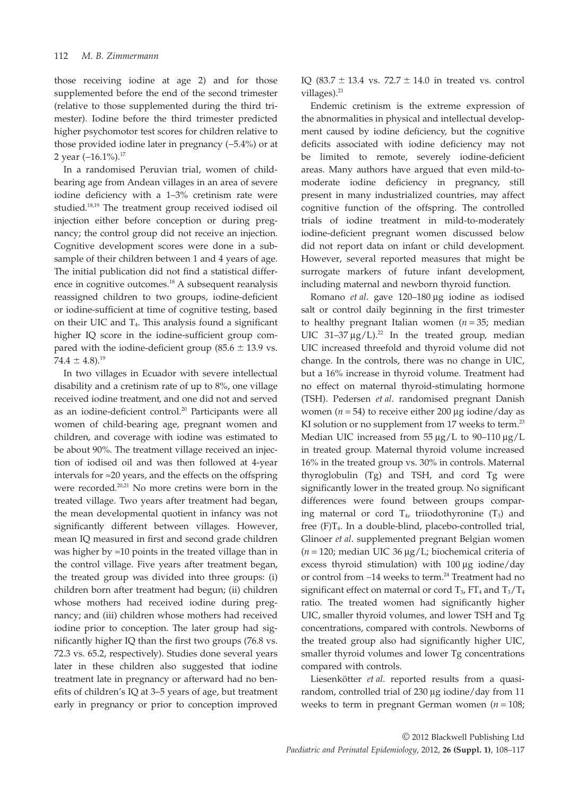those receiving iodine at age 2) and for those supplemented before the end of the second trimester (relative to those supplemented during the third trimester). Iodine before the third trimester predicted higher psychomotor test scores for children relative to those provided iodine later in pregnancy  $(-5.4%)$  or at 2 year  $(-16.1\%)$ .<sup>17</sup>

In a randomised Peruvian trial, women of childbearing age from Andean villages in an area of severe iodine deficiency with a 1–3% cretinism rate were studied.18,19 The treatment group received iodised oil injection either before conception or during pregnancy; the control group did not receive an injection. Cognitive development scores were done in a subsample of their children between 1 and 4 years of age. The initial publication did not find a statistical difference in cognitive outcomes.<sup>18</sup> A subsequent reanalysis reassigned children to two groups, iodine-deficient or iodine-sufficient at time of cognitive testing, based on their UIC and  $T_4$ . This analysis found a significant higher IQ score in the iodine-sufficient group compared with the iodine-deficient group  $(85.6 \pm 13.9 \text{ vs.})$  $74.4 \pm 4.8$ .<sup>19</sup>

In two villages in Ecuador with severe intellectual disability and a cretinism rate of up to 8%, one village received iodine treatment, and one did not and served as an iodine-deficient control.<sup>20</sup> Participants were all women of child-bearing age, pregnant women and children, and coverage with iodine was estimated to be about 90%. The treatment village received an injection of iodised oil and was then followed at 4-year intervals for  $\approx$  20 years, and the effects on the offspring were recorded.<sup>20,21</sup> No more cretins were born in the treated village. Two years after treatment had began, the mean developmental quotient in infancy was not significantly different between villages. However, mean IQ measured in first and second grade children was higher by  $\approx$ 10 points in the treated village than in the control village. Five years after treatment began, the treated group was divided into three groups: (i) children born after treatment had begun; (ii) children whose mothers had received iodine during pregnancy; and (iii) children whose mothers had received iodine prior to conception. The later group had significantly higher IQ than the first two groups (76.8 vs. 72.3 vs. 65.2, respectively). Studies done several years later in these children also suggested that iodine treatment late in pregnancy or afterward had no benefits of children's IQ at 3–5 years of age, but treatment early in pregnancy or prior to conception improved IQ (83.7  $\pm$  13.4 vs. 72.7  $\pm$  14.0 in treated vs. control villages).<sup>21</sup>

Endemic cretinism is the extreme expression of the abnormalities in physical and intellectual development caused by iodine deficiency, but the cognitive deficits associated with iodine deficiency may not be limited to remote, severely iodine-deficient areas. Many authors have argued that even mild-tomoderate iodine deficiency in pregnancy, still present in many industrialized countries, may affect cognitive function of the offspring. The controlled trials of iodine treatment in mild-to-moderately iodine-deficient pregnant women discussed below did not report data on infant or child development. However, several reported measures that might be surrogate markers of future infant development, including maternal and newborn thyroid function.

Romano *et al.* gave 120–180 µg iodine as iodised salt or control daily beginning in the first trimester to healthy pregnant Italian women (*n* = 35; median UIC 31-37  $\mu$ g/L).<sup>22</sup> In the treated group, median UIC increased threefold and thyroid volume did not change. In the controls, there was no change in UIC, but a 16% increase in thyroid volume. Treatment had no effect on maternal thyroid-stimulating hormone (TSH). Pedersen *et al*. randomised pregnant Danish women ( $n = 54$ ) to receive either 200 µg iodine/day as KI solution or no supplement from 17 weeks to term.<sup>23</sup> Median UIC increased from  $55 \mu g/L$  to 90–110  $\mu g/L$ in treated group. Maternal thyroid volume increased 16% in the treated group vs. 30% in controls. Maternal thyroglobulin (Tg) and TSH, and cord Tg were significantly lower in the treated group. No significant differences were found between groups comparing maternal or cord  $T_4$ , triiodothyronine  $(T_3)$  and free (F)T4. In a double-blind, placebo-controlled trial, Glinoer *et al*. supplemented pregnant Belgian women ( $n = 120$ ; median UIC 36  $\mu$ g/L; biochemical criteria of excess thyroid stimulation) with  $100 \mu g$  iodine/day or control from  $~14$  weeks to term.<sup>24</sup> Treatment had no significant effect on maternal or cord  $T_3$ ,  $FT_4$  and  $T_3/T_4$ ratio. The treated women had significantly higher UIC, smaller thyroid volumes, and lower TSH and Tg concentrations, compared with controls. Newborns of the treated group also had significantly higher UIC, smaller thyroid volumes and lower Tg concentrations compared with controls.

Liesenkötter *et al*. reported results from a quasirandom, controlled trial of  $230 \mu$ g iodine/day from 11 weeks to term in pregnant German women (*n* = 108;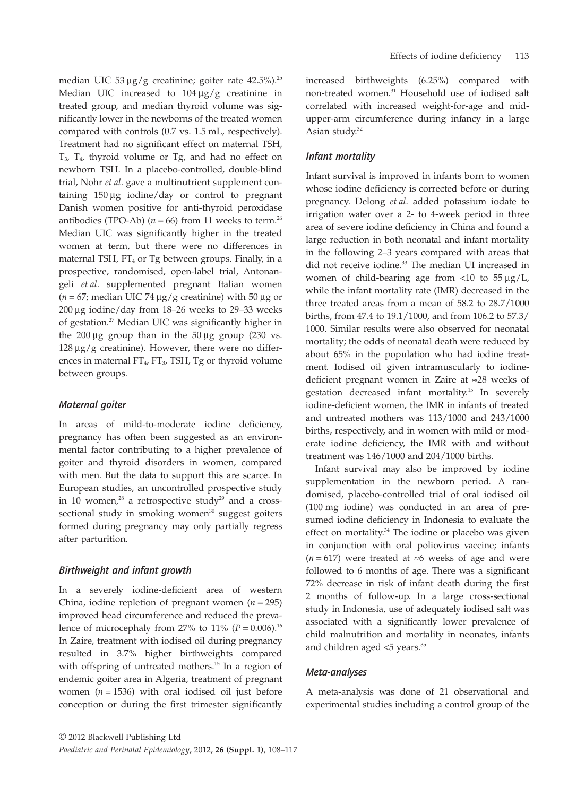median UIC 53  $\mu$ g/g creatinine; goiter rate 42.5%).<sup>25</sup> Median UIC increased to  $104 \mu g/g$  creatinine in treated group, and median thyroid volume was significantly lower in the newborns of the treated women compared with controls (0.7 vs. 1.5 mL, respectively). Treatment had no significant effect on maternal TSH,  $T_{3}$ ,  $T_{4}$ , thyroid volume or  $T_{5}$ , and had no effect on newborn TSH. In a placebo-controlled, double-blind trial, Nohr *et al*. gave a multinutrient supplement containing  $150 \mu g$  iodine/day or control to pregnant Danish women positive for anti-thyroid peroxidase antibodies (TPO-Ab)  $(n = 66)$  from 11 weeks to term.<sup>26</sup> Median UIC was significantly higher in the treated women at term, but there were no differences in maternal TSH,  $FT_4$  or Tg between groups. Finally, in a prospective, randomised, open-label trial, Antonangeli *et al*. supplemented pregnant Italian women  $(n = 67)$ ; median UIC 74  $\mu$ g/g creatinine) with 50  $\mu$ g or 200  $\mu$ g iodine/day from 18–26 weeks to 29–33 weeks of gestation.27 Median UIC was significantly higher in the  $200 \mu$ g group than in the  $50 \mu$ g group (230 vs.  $128 \mu g/g$  creatinine). However, there were no differences in maternal FT<sub>4</sub>, FT<sub>3</sub>, TSH, Tg or thyroid volume between groups.

# *Maternal goiter*

In areas of mild-to-moderate iodine deficiency, pregnancy has often been suggested as an environmental factor contributing to a higher prevalence of goiter and thyroid disorders in women, compared with men. But the data to support this are scarce. In European studies, an uncontrolled prospective study in 10 women, $28$  a retrospective study $29$  and a crosssectional study in smoking women $30$  suggest goiters formed during pregnancy may only partially regress after parturition.

# *Birthweight and infant growth*

In a severely iodine-deficient area of western China, iodine repletion of pregnant women  $(n = 295)$ improved head circumference and reduced the prevalence of microcephaly from 27% to 11% ( $P = 0.006$ ).<sup>16</sup> In Zaire, treatment with iodised oil during pregnancy resulted in 3.7% higher birthweights compared with offspring of untreated mothers.<sup>15</sup> In a region of endemic goiter area in Algeria, treatment of pregnant women  $(n = 1536)$  with oral iodised oil just before conception or during the first trimester significantly increased birthweights (6.25%) compared with non-treated women.31 Household use of iodised salt correlated with increased weight-for-age and midupper-arm circumference during infancy in a large Asian study.32

#### *Infant mortality*

Infant survival is improved in infants born to women whose iodine deficiency is corrected before or during pregnancy. Delong *et al*. added potassium iodate to irrigation water over a 2- to 4-week period in three area of severe iodine deficiency in China and found a large reduction in both neonatal and infant mortality in the following 2–3 years compared with areas that did not receive iodine.<sup>33</sup> The median UI increased in women of child-bearing age from  $\langle 10 \rangle$  to 55  $\mu$ g/L, while the infant mortality rate (IMR) decreased in the three treated areas from a mean of 58.2 to 28.7/1000 births, from 47.4 to 19.1/1000, and from 106.2 to 57.3/ 1000. Similar results were also observed for neonatal mortality; the odds of neonatal death were reduced by about 65% in the population who had iodine treatment. Iodised oil given intramuscularly to iodinedeficient pregnant women in Zaire at  $\approx$  28 weeks of gestation decreased infant mortality.15 In severely iodine-deficient women, the IMR in infants of treated and untreated mothers was 113/1000 and 243/1000 births, respectively, and in women with mild or moderate iodine deficiency, the IMR with and without treatment was 146/1000 and 204/1000 births.

Infant survival may also be improved by iodine supplementation in the newborn period. A randomised, placebo-controlled trial of oral iodised oil (100 mg iodine) was conducted in an area of presumed iodine deficiency in Indonesia to evaluate the effect on mortality.<sup>34</sup> The iodine or placebo was given in conjunction with oral poliovirus vaccine; infants  $(n = 617)$  were treated at  $\approx$ 6 weeks of age and were followed to 6 months of age. There was a significant 72% decrease in risk of infant death during the first 2 months of follow-up. In a large cross-sectional study in Indonesia, use of adequately iodised salt was associated with a significantly lower prevalence of child malnutrition and mortality in neonates, infants and children aged <5 years.35

#### *Meta-analyses*

A meta-analysis was done of 21 observational and experimental studies including a control group of the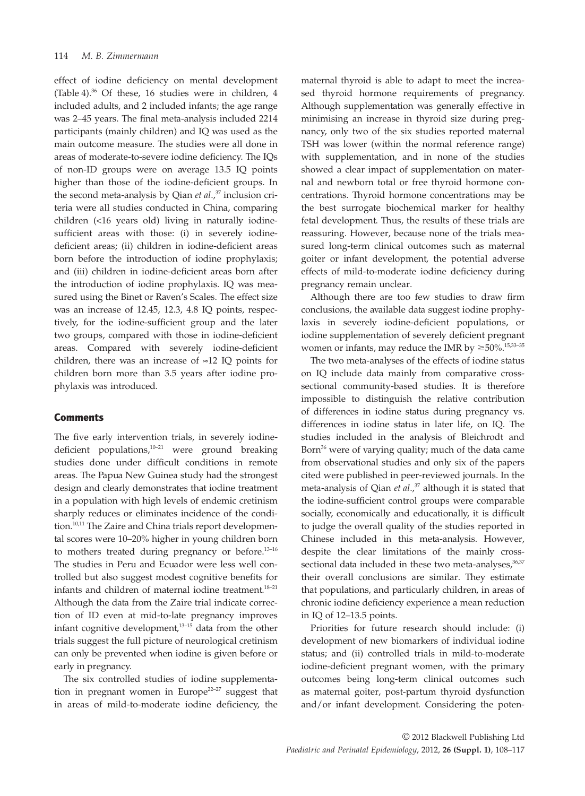effect of iodine deficiency on mental development (Table 4).36 Of these, 16 studies were in children, 4 included adults, and 2 included infants; the age range was 2–45 years. The final meta-analysis included 2214 participants (mainly children) and IQ was used as the main outcome measure. The studies were all done in areas of moderate-to-severe iodine deficiency. The IQs of non-ID groups were on average 13.5 IQ points higher than those of the iodine-deficient groups. In the second meta-analysis by Qian *et al.*,<sup>37</sup> inclusion criteria were all studies conducted in China, comparing children (<16 years old) living in naturally iodinesufficient areas with those: (i) in severely iodinedeficient areas; (ii) children in iodine-deficient areas born before the introduction of iodine prophylaxis; and (iii) children in iodine-deficient areas born after the introduction of iodine prophylaxis. IQ was measured using the Binet or Raven's Scales. The effect size was an increase of 12.45, 12.3, 4.8 IQ points, respectively, for the iodine-sufficient group and the later two groups, compared with those in iodine-deficient areas. Compared with severely iodine-deficient children, there was an increase of  $\approx$ 12 IQ points for children born more than 3.5 years after iodine prophylaxis was introduced.

# **Comments**

The five early intervention trials, in severely iodinedeficient populations,<sup>10-21</sup> were ground breaking studies done under difficult conditions in remote areas. The Papua New Guinea study had the strongest design and clearly demonstrates that iodine treatment in a population with high levels of endemic cretinism sharply reduces or eliminates incidence of the condition.<sup>10,11</sup> The Zaire and China trials report developmental scores were 10–20% higher in young children born to mothers treated during pregnancy or before. $^{13-16}$ The studies in Peru and Ecuador were less well controlled but also suggest modest cognitive benefits for infants and children of maternal iodine treatment.18–21 Although the data from the Zaire trial indicate correction of ID even at mid-to-late pregnancy improves infant cognitive development,13–15 data from the other trials suggest the full picture of neurological cretinism can only be prevented when iodine is given before or early in pregnancy.

The six controlled studies of iodine supplementation in pregnant women in Europe<sup>22-27</sup> suggest that in areas of mild-to-moderate iodine deficiency, the

maternal thyroid is able to adapt to meet the increased thyroid hormone requirements of pregnancy. Although supplementation was generally effective in minimising an increase in thyroid size during pregnancy, only two of the six studies reported maternal TSH was lower (within the normal reference range) with supplementation, and in none of the studies showed a clear impact of supplementation on maternal and newborn total or free thyroid hormone concentrations. Thyroid hormone concentrations may be the best surrogate biochemical marker for healthy fetal development. Thus, the results of these trials are reassuring. However, because none of the trials measured long-term clinical outcomes such as maternal goiter or infant development, the potential adverse effects of mild-to-moderate iodine deficiency during pregnancy remain unclear.

Although there are too few studies to draw firm conclusions, the available data suggest iodine prophylaxis in severely iodine-deficient populations, or iodine supplementation of severely deficient pregnant women or infants, may reduce the IMR by  $\geq 50\%$ .<sup>15,33–35</sup>

The two meta-analyses of the effects of iodine status on IQ include data mainly from comparative crosssectional community-based studies. It is therefore impossible to distinguish the relative contribution of differences in iodine status during pregnancy vs. differences in iodine status in later life, on IQ. The studies included in the analysis of Bleichrodt and Born<sup>36</sup> were of varying quality; much of the data came from observational studies and only six of the papers cited were published in peer-reviewed journals. In the meta-analysis of Qian et al.,<sup>37</sup> although it is stated that the iodine-sufficient control groups were comparable socially, economically and educationally, it is difficult to judge the overall quality of the studies reported in Chinese included in this meta-analysis. However, despite the clear limitations of the mainly crosssectional data included in these two meta-analyses,<sup>36,37</sup> their overall conclusions are similar. They estimate that populations, and particularly children, in areas of chronic iodine deficiency experience a mean reduction in IQ of 12–13.5 points.

Priorities for future research should include: (i) development of new biomarkers of individual iodine status; and (ii) controlled trials in mild-to-moderate iodine-deficient pregnant women, with the primary outcomes being long-term clinical outcomes such as maternal goiter, post-partum thyroid dysfunction and/or infant development. Considering the poten-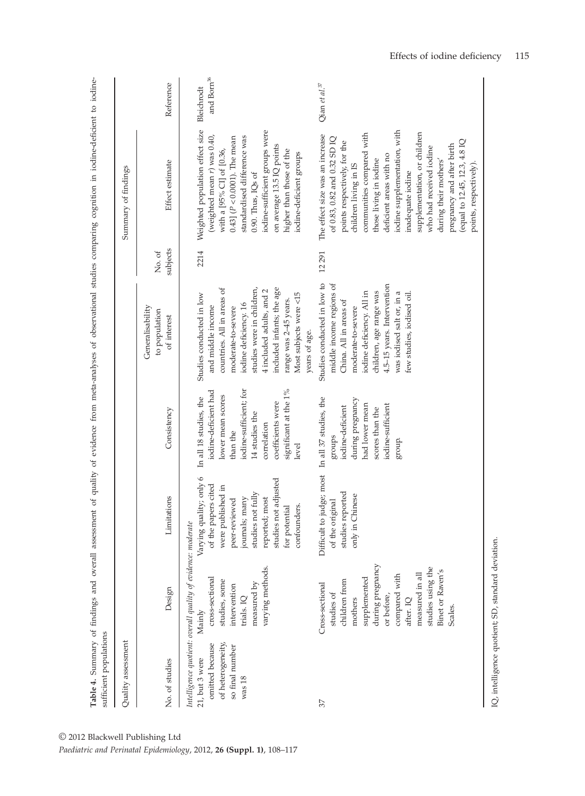| sufficient populations                                                                         |                                                                                                                                                                                                                  |                                                                                                                                                                                                        |                                                                                                                                                                                                   |                                                                                                                                                                                                                                                                          |                    |                                                                                                                                                                                                                                                                                                                                                                                                                                             |                                        |
|------------------------------------------------------------------------------------------------|------------------------------------------------------------------------------------------------------------------------------------------------------------------------------------------------------------------|--------------------------------------------------------------------------------------------------------------------------------------------------------------------------------------------------------|---------------------------------------------------------------------------------------------------------------------------------------------------------------------------------------------------|--------------------------------------------------------------------------------------------------------------------------------------------------------------------------------------------------------------------------------------------------------------------------|--------------------|---------------------------------------------------------------------------------------------------------------------------------------------------------------------------------------------------------------------------------------------------------------------------------------------------------------------------------------------------------------------------------------------------------------------------------------------|----------------------------------------|
| Quality assessment                                                                             |                                                                                                                                                                                                                  |                                                                                                                                                                                                        |                                                                                                                                                                                                   |                                                                                                                                                                                                                                                                          |                    | Summary of findings                                                                                                                                                                                                                                                                                                                                                                                                                         |                                        |
| No. of studies                                                                                 | Design                                                                                                                                                                                                           | Limitations                                                                                                                                                                                            | Consistency                                                                                                                                                                                       | Generalisability<br>to population<br>of interest                                                                                                                                                                                                                         | subjects<br>No. of | Effect estimate                                                                                                                                                                                                                                                                                                                                                                                                                             | Reference                              |
| of heterogeneity,<br>omitted because<br>so final number<br>21, but 3 were<br>was <sub>18</sub> | Intelligence quotient: overall quality of evidence: moderate<br>varying methods.<br>cross-sectional<br>studies, some<br>measured by<br>intervention<br>trials. IQ<br>Mainly                                      | Varying quality; only 6<br>studies not adjusted<br>of the papers cited<br>were published in<br>studies not fully<br>journals; many<br>reported; most<br>peer-reviewed<br>confounders.<br>for potential | iodine-sufficient; for<br>significant at the 1%<br>iodine-deficient had<br>lower mean scores<br>In all 18 studies, the<br>coefficients were<br>14 studies the<br>correlation<br>than the<br>level | countries. All in areas of<br>studies were in children,<br>included infants; the age<br>4 included adults, and 2<br>Most subjects were <15<br>Studies conducted in low<br>range was 2-45 years.<br>iodine deficiency. 16<br>and middle income<br>moderate-to-severe      | 2214               | Weighted population effect size<br>iodine-sufficient groups were<br>(weighted mean r) was 0.40,<br>0.43] $(P < 0.0001)$ . The mean<br>standardised difference was<br>on average 13.5 IQ points<br>with a [95% CI] of [0.36,<br>higher than those of the<br>iodine-deficient groups<br>0.90. Thus, IQs of                                                                                                                                    | and $\mathrm{Born}^{36}$<br>Bleichrodt |
| 57                                                                                             | during pregnancy<br>studies using the<br>Binet or Raven's<br>measured in all<br>compared with<br>supplemented<br>children from<br>Cross-sectional<br>studies of<br>or before,<br>mothers<br>after. IQ<br>Scales. | Difficult to judge; most In all 37 studies, the<br>studies reported<br>only in Chinese<br>iginal<br>of the ori                                                                                         | during pregnancy<br>had lower mean<br>iodine-sufficient<br>iodine-deficient<br>scores than the<br><i><b>Stonps</b></i><br>group.                                                                  | Studies conducted in low to<br>middle income regions of<br>4.5-15 years. Intervention<br>children, age range was<br>iodine deficiency. All in<br>few studies, iodised oil.<br>was iodised salt or, in a<br>China. All in areas of<br>moderate-to-severe<br>years of age. | 12291              | iodine supplementation, with<br>supplementation, or children<br>communities compared with<br>The effect size was an increase<br>of 0.83, 0.82 and 0.32 SD IQ<br>(equal to 12.45, 12.3, 4.8 IQ<br>points respectively, for the<br>pregnancy and after birth<br>who had received iodine<br>deficient areas with no<br>those living in iodine<br>during their mothers'<br>points, respectively).<br>children living in IS<br>inadequate iodine | Qian et al. <sup>37</sup>              |

**Table 4.** Summary of findings and overall assessment of quality of evidence from meta-analyses of observational studies comparing cognition in iodine-deficient to iodine-

Table 4. Summary of findings and overall assessment of quality of evidence from meta-analyses of observational studies comparing cognition in iodine-deficient to iodine-

IQ, intelligence quotient; SD, standard deviation. IQ, intelligence quotient; SD, standard deviation.

L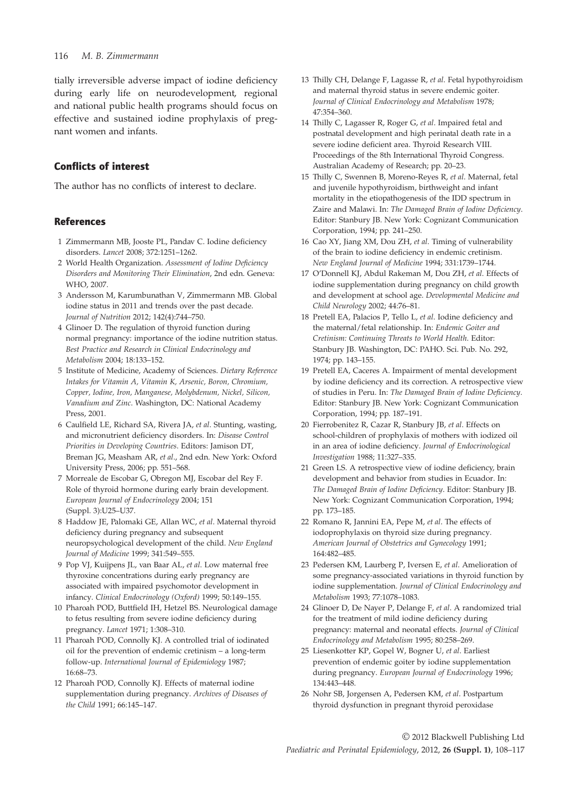#### 116 *M. B. Zimmermann*

tially irreversible adverse impact of iodine deficiency during early life on neurodevelopment, regional and national public health programs should focus on effective and sustained iodine prophylaxis of pregnant women and infants.

# Conflicts of interest

The author has no conflicts of interest to declare.

# References

- 1 Zimmermann MB, Jooste PL, Pandav C. Iodine deficiency disorders. *Lancet* 2008; 372:1251–1262.
- 2 World Health Organization. *Assessment of Iodine Deficiency Disorders and Monitoring Their Elimination*, 2nd edn. Geneva: WHO, 2007.
- 3 Andersson M, Karumbunathan V, Zimmermann MB. Global iodine status in 2011 and trends over the past decade. *Journal of Nutrition* 2012; 142(4):744–750.
- 4 Glinoer D. The regulation of thyroid function during normal pregnancy: importance of the iodine nutrition status. *Best Practice and Research in Clinical Endocrinology and Metabolism* 2004; 18:133–152.
- 5 Institute of Medicine, Academy of Sciences. *Dietary Reference Intakes for Vitamin A, Vitamin K, Arsenic, Boron, Chromium, Copper, Iodine, Iron, Manganese, Molybdenum, Nickel, Silicon, Vanadium and Zinc*. Washington, DC: National Academy Press, 2001.
- 6 Caulfield LE, Richard SA, Rivera JA, *et al*. Stunting, wasting, and micronutrient deficiency disorders. In: *Disease Control Priorities in Developing Countries*. Editors: Jamison DT, Breman JG, Measham AR, *et al*., 2nd edn. New York: Oxford University Press, 2006; pp. 551–568.
- 7 Morreale de Escobar G, Obregon MJ, Escobar del Rey F. Role of thyroid hormone during early brain development. *European Journal of Endocrinology* 2004; 151 (Suppl. 3):U25–U37.
- 8 Haddow JE, Palomaki GE, Allan WC, *et al*. Maternal thyroid deficiency during pregnancy and subsequent neuropsychological development of the child. *New England Journal of Medicine* 1999; 341:549–555.
- 9 Pop VJ, Kuijpens JL, van Baar AL, *et al*. Low maternal free thyroxine concentrations during early pregnancy are associated with impaired psychomotor development in infancy. *Clinical Endocrinology (Oxford)* 1999; 50:149–155.
- 10 Pharoah POD, Buttfield IH, Hetzel BS. Neurological damage to fetus resulting from severe iodine deficiency during pregnancy. *Lancet* 1971; 1:308–310.
- 11 Pharoah POD, Connolly KJ. A controlled trial of iodinated oil for the prevention of endemic cretinism – a long-term follow-up. *International Journal of Epidemiology* 1987; 16:68–73.
- 12 Pharoah POD, Connolly KJ. Effects of maternal iodine supplementation during pregnancy. *Archives of Diseases of the Child* 1991; 66:145–147.
- 13 Thilly CH, Delange F, Lagasse R, *et al*. Fetal hypothyroidism and maternal thyroid status in severe endemic goiter. *Journal of Clinical Endocrinology and Metabolism* 1978; 47:354–360.
- 14 Thilly C, Lagasser R, Roger G, *et al*. Impaired fetal and postnatal development and high perinatal death rate in a severe iodine deficient area. Thyroid Research VIII. Proceedings of the 8th International Thyroid Congress. Australian Academy of Research; pp. 20–23.
- 15 Thilly C, Swennen B, Moreno-Reyes R, *et al*. Maternal, fetal and juvenile hypothyroidism, birthweight and infant mortality in the etiopathogenesis of the IDD spectrum in Zaire and Malawi. In: *The Damaged Brain of Iodine Deficiency*. Editor: Stanbury JB. New York: Cognizant Communication Corporation, 1994; pp. 241–250.
- 16 Cao XY, Jiang XM, Dou ZH, *et al*. Timing of vulnerability of the brain to iodine deficiency in endemic cretinism. *New England Journal of Medicine* 1994; 331:1739–1744.
- 17 O'Donnell KJ, Abdul Rakeman M, Dou ZH, *et al*. Effects of iodine supplementation during pregnancy on child growth and development at school age. *Developmental Medicine and Child Neurology* 2002; 44:76–81.
- 18 Pretell EA, Palacios P, Tello L, *et al*. Iodine deficiency and the maternal/fetal relationship. In: *Endemic Goiter and Cretinism: Continuing Threats to World Health*. Editor: Stanbury JB. Washington, DC: PAHO. Sci. Pub. No. 292, 1974; pp. 143–155.
- 19 Pretell EA, Caceres A. Impairment of mental development by iodine deficiency and its correction. A retrospective view of studies in Peru. In: *The Damaged Brain of Iodine Deficiency*. Editor: Stanbury JB. New York: Cognizant Communication Corporation, 1994; pp. 187–191.
- 20 Fierrobenitez R, Cazar R, Stanbury JB, *et al*. Effects on school-children of prophylaxis of mothers with iodized oil in an area of iodine deficiency. *Journal of Endocrinological Investigation* 1988; 11:327–335.
- 21 Green LS. A retrospective view of iodine deficiency, brain development and behavior from studies in Ecuador. In: *The Damaged Brain of Iodine Deficiency*. Editor: Stanbury JB. New York: Cognizant Communication Corporation, 1994; pp. 173–185.
- 22 Romano R, Jannini EA, Pepe M, *et al*. The effects of iodoprophylaxis on thyroid size during pregnancy. *American Journal of Obstetrics and Gynecology* 1991; 164:482–485.
- 23 Pedersen KM, Laurberg P, Iversen E, *et al*. Amelioration of some pregnancy-associated variations in thyroid function by iodine supplementation. *Journal of Clinical Endocrinology and Metabolism* 1993; 77:1078–1083.
- 24 Glinoer D, De Nayer P, Delange F, *et al*. A randomized trial for the treatment of mild iodine deficiency during pregnancy: maternal and neonatal effects. *Journal of Clinical Endocrinology and Metabolism* 1995; 80:258–269.
- 25 Liesenkotter KP, Gopel W, Bogner U, *et al*. Earliest prevention of endemic goiter by iodine supplementation during pregnancy. *European Journal of Endocrinology* 1996; 134:443–448.
- 26 Nohr SB, Jorgensen A, Pedersen KM, *et al*. Postpartum thyroid dysfunction in pregnant thyroid peroxidase